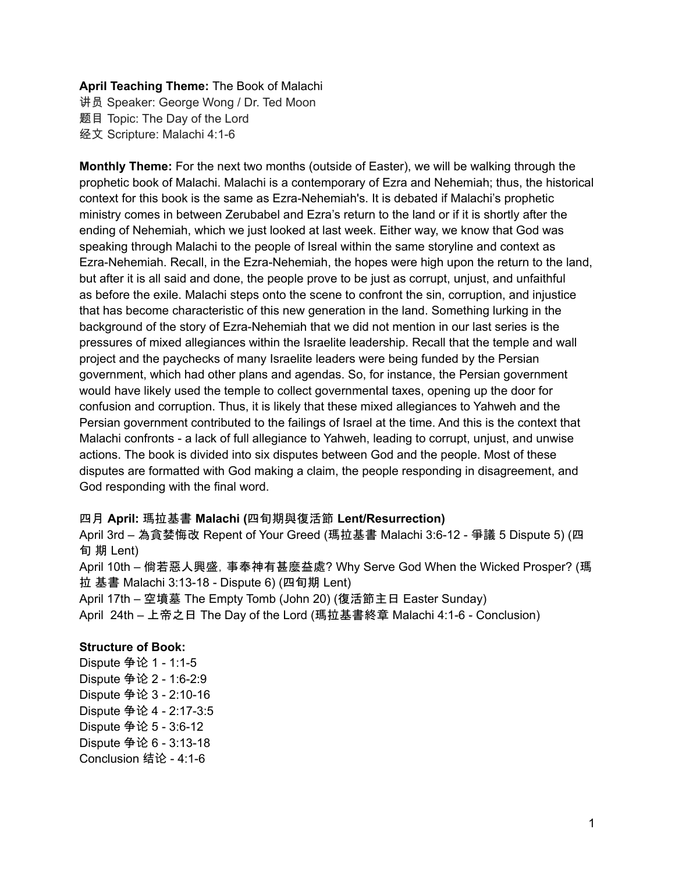### **April Teaching Theme:** The Book of Malachi

讲员 Speaker: George Wong / Dr. Ted Moon 题目 Topic: The Day of the Lord 经文 Scripture: Malachi 4:1-6

**Monthly Theme:** For the next two months (outside of Easter), we will be walking through the prophetic book of Malachi. Malachi is a contemporary of Ezra and Nehemiah; thus, the historical context for this book is the same as Ezra-Nehemiah's. It is debated if Malachi's prophetic ministry comes in between Zerubabel and Ezra's return to the land or if it is shortly after the ending of Nehemiah, which we just looked at last week. Either way, we know that God was speaking through Malachi to the people of Isreal within the same storyline and context as Ezra-Nehemiah. Recall, in the Ezra-Nehemiah, the hopes were high upon the return to the land, but after it is all said and done, the people prove to be just as corrupt, unjust, and unfaithful as before the exile. Malachi steps onto the scene to confront the sin, corruption, and injustice that has become characteristic of this new generation in the land. Something lurking in the background of the story of Ezra-Nehemiah that we did not mention in our last series is the pressures of mixed allegiances within the Israelite leadership. Recall that the temple and wall project and the paychecks of many Israelite leaders were being funded by the Persian government, which had other plans and agendas. So, for instance, the Persian government would have likely used the temple to collect governmental taxes, opening up the door for confusion and corruption. Thus, it is likely that these mixed allegiances to Yahweh and the Persian government contributed to the failings of Israel at the time. And this is the context that Malachi confronts - a lack of full allegiance to Yahweh, leading to corrupt, unjust, and unwise actions. The book is divided into six disputes between God and the people. Most of these disputes are formatted with God making a claim, the people responding in disagreement, and God responding with the final word.

#### 四月 **April:** 瑪拉基書 **Malachi (**四旬期與復活節 **Lent/Resurrection)**

April 3rd – 為貪婪悔改 Repent of Your Greed (瑪拉基書 Malachi 3:6-12 - 爭議 5 Dispute 5) (四 旬 期 Lent)

April 10th – 倘若惡人興盛,事奉神有甚麼益處? Why Serve God When the Wicked Prosper? (瑪 拉 基書 Malachi 3:13-18 - Dispute 6) (四旬期 Lent)

April 17th – 空墳墓 The Empty Tomb (John 20) (復活節主日 Easter Sunday) April 24th – 上帝之日 The Day of the Lord (瑪拉基書終章 Malachi 4:1-6 - Conclusion)

#### **Structure of Book:**

Dispute 争论 1 - 1:1-5 Dispute 争论 2 - 1:6-2:9 Dispute 争论 3 - 2:10-16 Dispute 争论 4 - 2:17-3:5 Dispute 争论 5 - 3:6-12 Dispute 争论 6 - 3:13-18 Conclusion 结论 - 4:1-6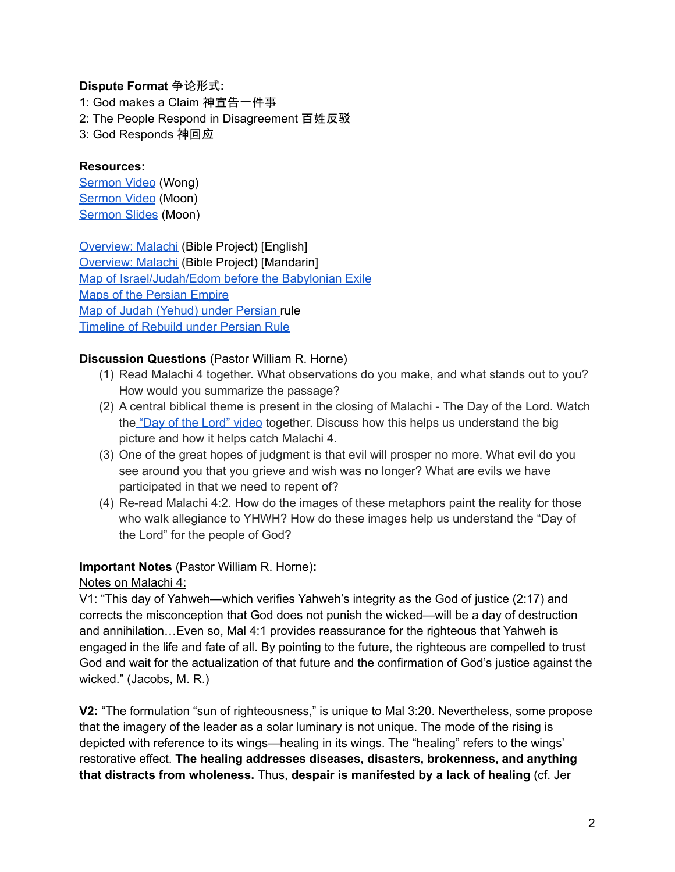## **Dispute Format** 争论形式**:**

1: God makes a Claim 神宣告一件事 2: The People Respond in Disagreement 百姓反驳 3: God Responds 神回应

### **Resources:**

[Sermon](https://www.youtube.com/watch?v=Tg9U5GkpciY) Video (Wong) [Sermon](https://www.youtube.com/watch?v=gvpNAaDsE8U) Video (Moon) [Sermon](https://docs.google.com/presentation/d/1sVRVpoxls2cWEUj8Wq14B_BgL7ymGHCt/edit?usp=sharing&ouid=111022305003760555164&rtpof=true&sd=true) Slides (Moon)

[Overview:](https://bibleproject.com/explore/video/malachi/) Malachi (Bible Project) [English] [Overview:](https://www.youtube.com/watch?v=8T57vKj-Ix8&list=PLE-R0uydm0uN0xKD3tw0aheiQojlf1JB1&index=29) Malachi (Bible Project) [Mandarin] Map of [Israel/Judah/Edom](https://docs.google.com/presentation/d/1tFqR--i8vR65UNcydtMDcN0P1IocObGP6zsQPzodJvg/edit?usp=sharing) before the Babylonian Exile Maps of the [Persian](https://docs.google.com/presentation/d/1etJFccQZX3MryDbRrS1s5n6bjpYFgUOYwQ4VQG_JuV4/edit?usp=sharing) Empire Map of Judah [\(Yehud\)](https://docs.google.com/presentation/d/1B-jPxAPFXvR-dkqLLivyckb0uZtp_PYXSNJsG_iepRA/edit?usp=sharing) under Persian rule [Timeline](https://docs.google.com/presentation/d/1pivSiquO322iIeBUBqD0yGXiqO8ft5FlPvqLRck4eek/edit?usp=sharing) of Rebuild under Persian Rule

# **Discussion Questions** (Pastor William R. Horne)

- (1) Read Malachi 4 together. What observations do you make, and what stands out to you? How would you summarize the passage?
- (2) A central biblical theme is present in the closing of Malachi The Day of the Lord. Watch the "Day of the Lord" [video](https://bibleproject.com/explore/video/day-of-the-lord/) together. Discuss how this helps us understand the big picture and how it helps catch Malachi 4.
- (3) One of the great hopes of judgment is that evil will prosper no more. What evil do you see around you that you grieve and wish was no longer? What are evils we have participated in that we need to repent of?
- (4) Re-read Malachi 4:2. How do the images of these metaphors paint the reality for those who walk allegiance to YHWH? How do these images help us understand the "Day of the Lord" for the people of God?

# **Important Notes** (Pastor William R. Horne)**:**

Notes on Malachi 4:

V1: "This day of Yahweh—which verifies Yahweh's integrity as the God of justice (2:17) and corrects the misconception that God does not punish the wicked—will be a day of destruction and annihilation…Even so, Mal 4:1 provides reassurance for the righteous that Yahweh is engaged in the life and fate of all. By pointing to the future, the righteous are compelled to trust God and wait for the actualization of that future and the confirmation of God's justice against the wicked." (Jacobs, M. R.)

**V2:** "The formulation "sun of righteousness," is unique to Mal 3:20. Nevertheless, some propose that the imagery of the leader as a solar luminary is not unique. The mode of the rising is depicted with reference to its wings—healing in its wings. The "healing" refers to the wings' restorative effect. **The healing addresses diseases, disasters, brokenness, and anything that distracts from wholeness.** Thus, **despair is manifested by a lack of healing** (cf. Jer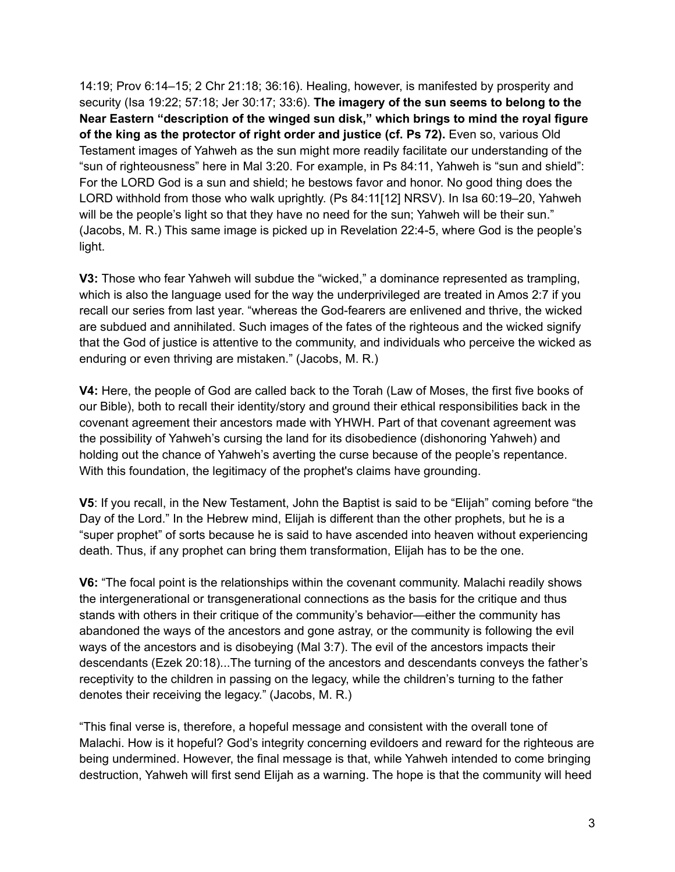14:19; Prov 6:14–15; 2 Chr 21:18; 36:16). Healing, however, is manifested by prosperity and security (Isa 19:22; 57:18; Jer 30:17; 33:6). **The imagery of the sun seems to belong to the Near Eastern "description of the winged sun disk," which brings to mind the royal figure of the king as the protector of right order and justice (cf. Ps 72).** Even so, various Old Testament images of Yahweh as the sun might more readily facilitate our understanding of the "sun of righteousness" here in Mal 3:20. For example, in Ps 84:11, Yahweh is "sun and shield": For the LORD God is a sun and shield; he bestows favor and honor. No good thing does the LORD withhold from those who walk uprightly. (Ps 84:11[12] NRSV). In Isa 60:19–20, Yahweh will be the people's light so that they have no need for the sun; Yahweh will be their sun." (Jacobs, M. R.) This same image is picked up in Revelation 22:4-5, where God is the people's light.

**V3:** Those who fear Yahweh will subdue the "wicked," a dominance represented as trampling, which is also the language used for the way the underprivileged are treated in Amos 2:7 if you recall our series from last year. "whereas the God-fearers are enlivened and thrive, the wicked are subdued and annihilated. Such images of the fates of the righteous and the wicked signify that the God of justice is attentive to the community, and individuals who perceive the wicked as enduring or even thriving are mistaken." (Jacobs, M. R.)

**V4:** Here, the people of God are called back to the Torah (Law of Moses, the first five books of our Bible), both to recall their identity/story and ground their ethical responsibilities back in the covenant agreement their ancestors made with YHWH. Part of that covenant agreement was the possibility of Yahweh's cursing the land for its disobedience (dishonoring Yahweh) and holding out the chance of Yahweh's averting the curse because of the people's repentance. With this foundation, the legitimacy of the prophet's claims have grounding.

**V5**: If you recall, in the New Testament, John the Baptist is said to be "Elijah" coming before "the Day of the Lord." In the Hebrew mind, Elijah is different than the other prophets, but he is a "super prophet" of sorts because he is said to have ascended into heaven without experiencing death. Thus, if any prophet can bring them transformation, Elijah has to be the one.

**V6:** "The focal point is the relationships within the covenant community. Malachi readily shows the intergenerational or transgenerational connections as the basis for the critique and thus stands with others in their critique of the community's behavior—either the community has abandoned the ways of the ancestors and gone astray, or the community is following the evil ways of the ancestors and is disobeying (Mal 3:7). The evil of the ancestors impacts their descendants (Ezek 20:18)...The turning of the ancestors and descendants conveys the father's receptivity to the children in passing on the legacy, while the children's turning to the father denotes their receiving the legacy." (Jacobs, M. R.)

"This final verse is, therefore, a hopeful message and consistent with the overall tone of Malachi. How is it hopeful? God's integrity concerning evildoers and reward for the righteous are being undermined. However, the final message is that, while Yahweh intended to come bringing destruction, Yahweh will first send Elijah as a warning. The hope is that the community will heed